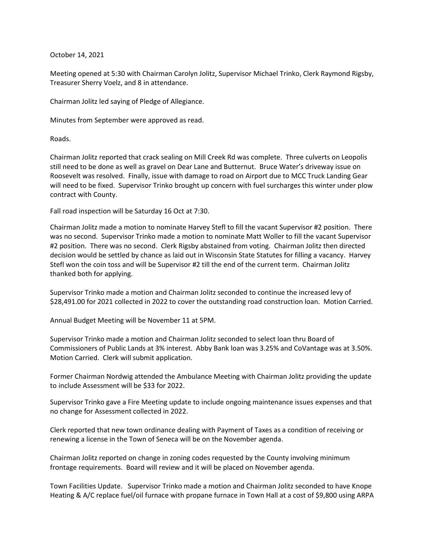## October 14, 2021

Meeting opened at 5:30 with Chairman Carolyn Jolitz, Supervisor Michael Trinko, Clerk Raymond Rigsby, Treasurer Sherry Voelz, and 8 in attendance.

Chairman Jolitz led saying of Pledge of Allegiance.

Minutes from September were approved as read.

Roads.

Chairman Jolitz reported that crack sealing on Mill Creek Rd was complete. Three culverts on Leopolis still need to be done as well as gravel on Dear Lane and Butternut. Bruce Water's driveway issue on Roosevelt was resolved. Finally, issue with damage to road on Airport due to MCC Truck Landing Gear will need to be fixed. Supervisor Trinko brought up concern with fuel surcharges this winter under plow contract with County.

Fall road inspection will be Saturday 16 Oct at 7:30.

Chairman Jolitz made a motion to nominate Harvey Stefl to fill the vacant Supervisor #2 position. There was no second. Supervisor Trinko made a motion to nominate Matt Woller to fill the vacant Supervisor #2 position. There was no second. Clerk Rigsby abstained from voting. Chairman Jolitz then directed decision would be settled by chance as laid out in Wisconsin State Statutes for filling a vacancy. Harvey Stefl won the coin toss and will be Supervisor #2 till the end of the current term. Chairman Jolitz thanked both for applying.

Supervisor Trinko made a motion and Chairman Jolitz seconded to continue the increased levy of \$28,491.00 for 2021 collected in 2022 to cover the outstanding road construction loan. Motion Carried.

Annual Budget Meeting will be November 11 at 5PM.

Supervisor Trinko made a motion and Chairman Jolitz seconded to select loan thru Board of Commissioners of Public Lands at 3% interest. Abby Bank loan was 3.25% and CoVantage was at 3.50%. Motion Carried. Clerk will submit application.

Former Chairman Nordwig attended the Ambulance Meeting with Chairman Jolitz providing the update to include Assessment will be \$33 for 2022.

Supervisor Trinko gave a Fire Meeting update to include ongoing maintenance issues expenses and that no change for Assessment collected in 2022.

Clerk reported that new town ordinance dealing with Payment of Taxes as a condition of receiving or renewing a license in the Town of Seneca will be on the November agenda.

Chairman Jolitz reported on change in zoning codes requested by the County involving minimum frontage requirements. Board will review and it will be placed on November agenda.

Town Facilities Update. Supervisor Trinko made a motion and Chairman Jolitz seconded to have Knope Heating & A/C replace fuel/oil furnace with propane furnace in Town Hall at a cost of \$9,800 using ARPA